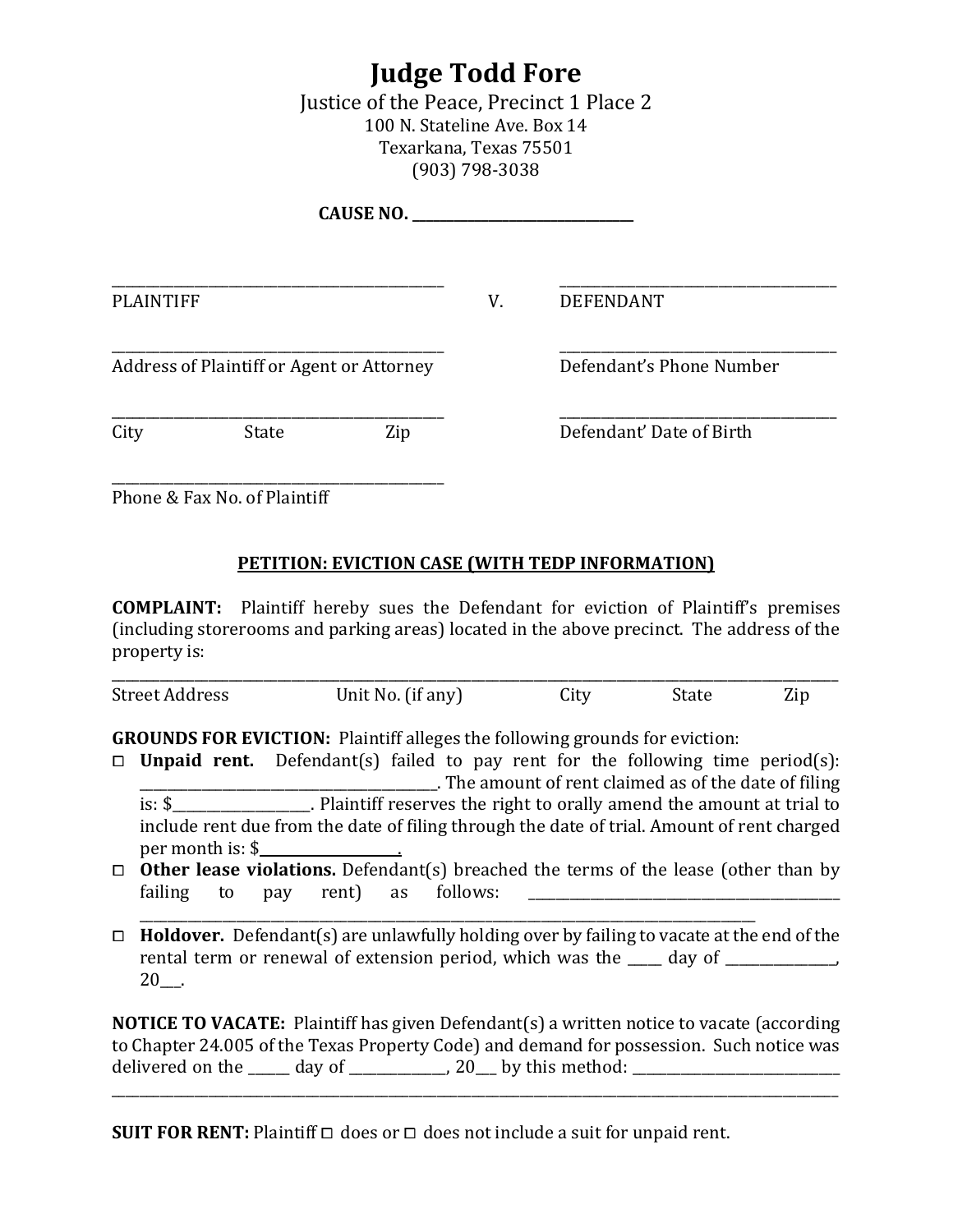## **Judge Todd Fore**

Justice of the Peace, Precinct 1 Place 2 100 N. Stateline Ave. Box 14 Texarkana, Texas 75501 (903) 798-3038

|                                           |       | CAUSE NO. |    |                          |  |
|-------------------------------------------|-------|-----------|----|--------------------------|--|
| <b>PLAINTIFF</b>                          |       |           | V. | <b>DEFENDANT</b>         |  |
| Address of Plaintiff or Agent or Attorney |       |           |    | Defendant's Phone Number |  |
| City                                      | State | Zip       |    | Defendant' Date of Birth |  |
|                                           |       |           |    |                          |  |

Phone & Fax No. of Plaintiff

## **PETITION: EVICTION CASE (WITH TEDP INFORMATION)**

**COMPLAINT:** Plaintiff hereby sues the Defendant for eviction of Plaintiff's premises (including storerooms and parking areas) located in the above precinct. The address of the property is:

| <b>Street Address</b> | Unit No. (if any) | City | state | Zir |
|-----------------------|-------------------|------|-------|-----|

**GROUNDS FOR EVICTION:** Plaintiff alleges the following grounds for eviction:

- □ **Unpaid rent.** Defendant(s) failed to pay rent for the following time period(s):<br>The amount of rent claimed as of the date of filing. \_\_\_\_\_\_\_\_\_\_\_\_\_\_\_\_\_\_\_\_\_\_\_\_\_\_\_\_\_\_\_\_\_\_\_\_\_\_\_\_\_\_\_. The amount of rent claimed as of the date of filing is: \$\_\_\_\_\_\_\_\_\_\_\_\_\_\_\_\_\_\_\_\_. Plaintiff reserves the right to orally amend the amount at trial to include rent due from the date of filing through the date of trial. Amount of rent charged per month is: \$\_\_\_\_\_\_\_\_\_\_\_\_\_\_\_\_\_\_\_\_.
- $\Box$  **Other lease violations.** Defendant(s) breached the terms of the lease (other than by failing to pay rent) as follows:
- \_\_\_\_\_\_\_\_\_\_\_\_\_\_\_\_\_\_\_\_\_\_\_\_\_\_\_\_\_\_\_\_\_\_\_\_\_\_\_\_\_\_\_\_\_\_\_\_\_\_\_\_\_\_\_\_\_\_\_\_\_\_\_\_\_\_\_\_\_\_\_\_\_\_\_\_\_\_\_\_\_\_\_\_\_\_\_\_\_ ⧠ **Holdover.** Defendant(s) are unlawfully holding over by failing to vacate at the end of the rental term or renewal of extension period, which was the \_\_\_\_ day of \_\_\_\_\_\_\_\_\_\_\_ 20\_\_\_.

**NOTICE TO VACATE:** Plaintiff has given Defendant(s) a written notice to vacate (according to Chapter 24.005 of the Texas Property Code) and demand for possession. Such notice was delivered on the \_\_\_\_\_\_ day of \_\_\_\_\_\_\_\_\_\_\_\_\_\_, 20\_\_\_ by this method: \_\_\_\_\_\_\_\_\_\_\_\_\_\_\_\_\_\_\_\_\_\_\_\_\_\_\_\_\_\_

\_\_\_\_\_\_\_\_\_\_\_\_\_\_\_\_\_\_\_\_\_\_\_\_\_\_\_\_\_\_\_\_\_\_\_\_\_\_\_\_\_\_\_\_\_\_\_\_\_\_\_\_\_\_\_\_\_\_\_\_\_\_\_\_\_\_\_\_\_\_\_\_\_\_\_\_\_\_\_\_\_\_\_\_\_\_\_\_\_\_\_\_\_\_\_\_\_\_\_\_\_\_\_\_\_

**SUIT FOR RENT:** Plaintiff  $\Box$  does or  $\Box$  does not include a suit for unpaid rent.